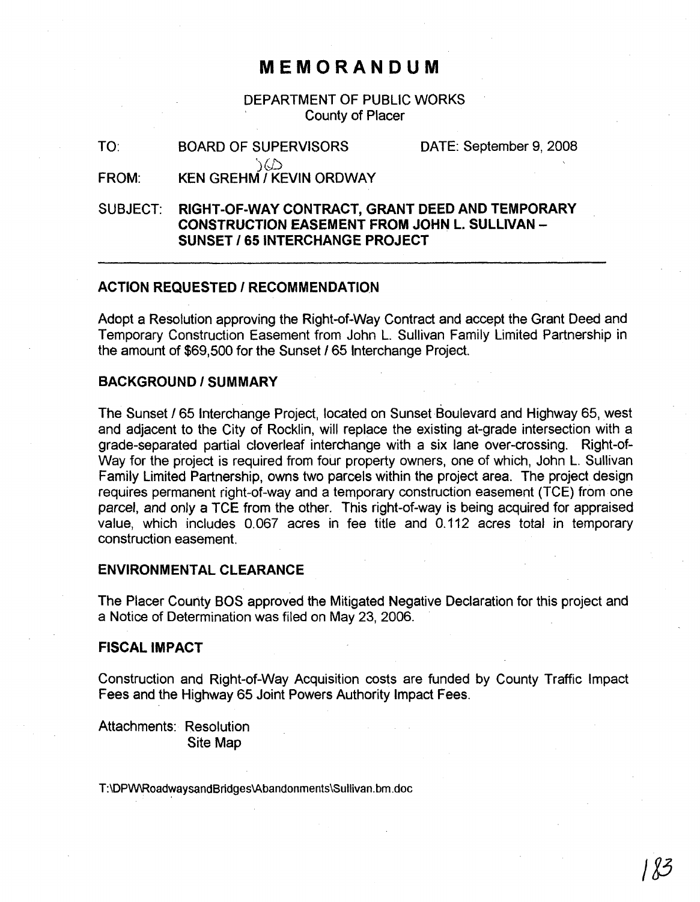## **MEMORANDUM**

DEPARTMENT OF PUBLIC WORKS County of Placer

#### TO: FROM: BOARD OF SUPERVISORS  $\Im\mathcal{O}$ KEN GREHM / KEVIN ORDWAY DATE: September 9, 2008

### SUBJECT: RIGHT-OF-WAY CONTRACT, GRANT DEED AND TEMPORARY CONSTRUCTION EASEMENT FROM JOHN L. SULLIVAN -SUNSET /65 INTERCHANGE PROJECT

#### **ACTION REQUESTED / RECOMMENDATION**

Adopt a Resolution approving the Right-of~Way Contract and accept the Grant Deed and Temporary Construction Easement from John L. Sullivan Family limited Partnership in the amount of \$69,500 for the Sunset / 65 Interchange Project.

#### BACKGROUND/SUMMARY

The Sunset / 65 Interchange Project, located on Sunset Boulevard and Highway 65, west and adjacent to the City of Rocklin, will replace the existing at-grade intersection with a grade-separated partial cloverleaf interchange with a six lane over-crossing. Right-of-Way for the project is required from four property owners, one of which, John L. Sullivan Family Limited Partnership, owns two parcels within the project area. The project design requires permanent right-of-way and a temporary construction easement (TCE) from one parcel, and only a TCE from the other. This right-of-way is being acquired for appraised value, which includes 0.067 acres in fee title and 0.112 acres total in temporary construction easement.

#### ENVIRONMENTAL CLEARANCE

The Placer County BOS approved the Mitigated Negative Declaration for this project and a Notice of Determination was filed on May 23, 2006.

#### FISCAL IMPACT

Construction and Right-of-Way Acquisition costs are funded by County Traffic Impact Fees and the Highway 65 Joint Powers Authority Impact Fees.

Attachments: Resolution Site Map

T:\DPW\RoadwaysandBridges\Abandonments\Sullivan.bm.doc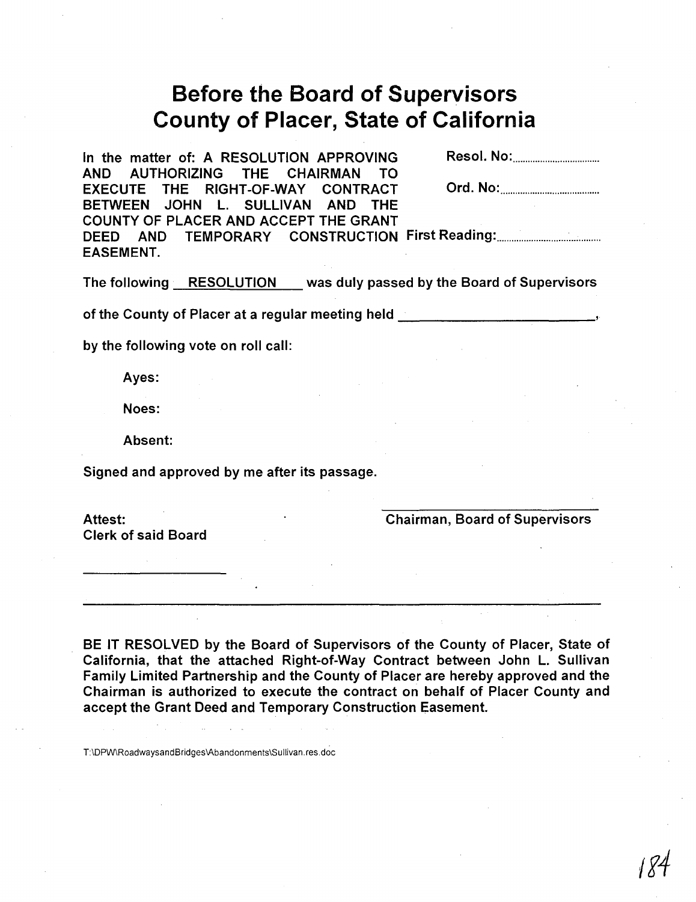# Before the Board of Supervisors County of Placer, State of California

In the matter of: A RESOLUTION APPROVING Resol. No: . AND AUTHORIZING THE CHAIRMAN TO EXECUTE THE RIGHT-OF-WAY CONTRACT Ord. No: . BETWEEN JOHN L. SULLIVAN AND THE COUNTY OF PLACER AND ACCEPT THE GRANT DEED AND TEMPORARY CONSTRUCTION First Reading: .. EASEMENT.

The following RESOLUTION was duly passed by the Board of Supervisors

of the County of Placer at a regular meeting held **Common County of Placer at a regular meeting** held

by the following vote on roll call:

Ayes:

Noes:

Absent:

Signed and approved by me after its passage.

Chairman, Board of Supervisors

Attest: Clerk of said Board

BE IT RESOLVED by the Board of Supervisors of the County of Placer, State of California, that the attached Right-of-Way Contract between John L. Sullivan Family Limited Partnership and the County of Placer are hereby approved and the Chairman is authorized to execute the contract on behalf of Placer County and accept the Grant Deed and Temporary Construction Easement.

T:\DPW\RoadwaysandBridgeslAbandonments\Sullivan.res.doc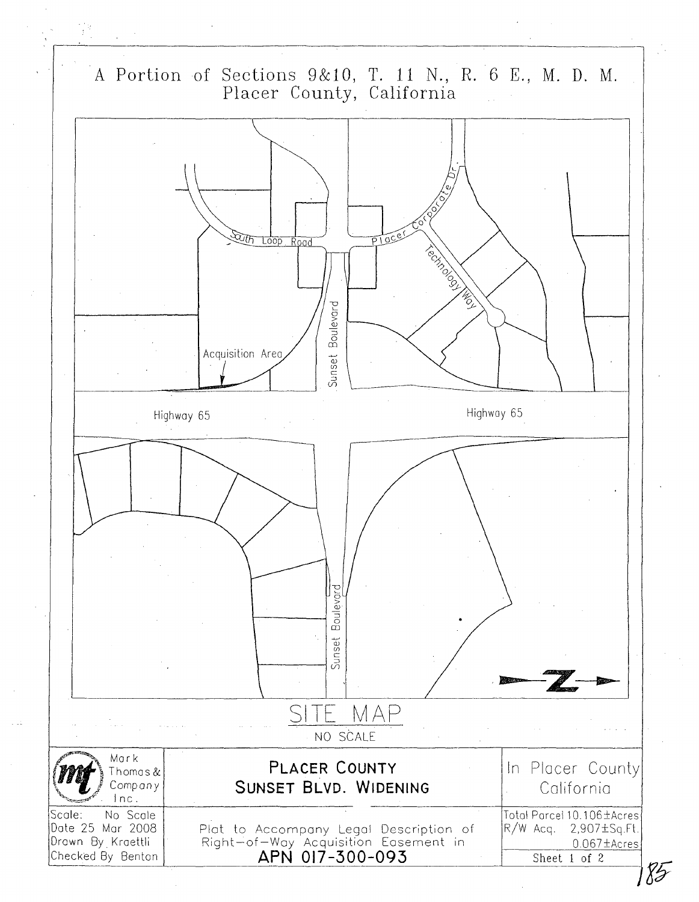